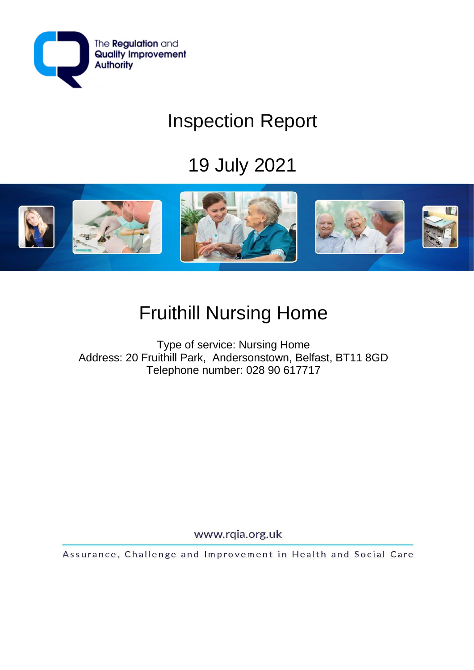

# Inspection Report

# 19 July 2021



# Fruithill Nursing Home

Type of service: Nursing Home Address: 20 Fruithill Park, Andersonstown, Belfast, BT11 8GD Telephone number: 028 90 617717

www.rqia.org.uk

Assurance, Challenge and Improvement in Health and Social Care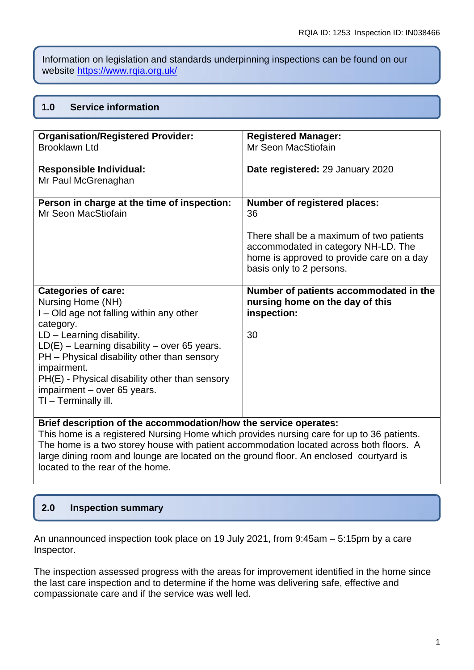Information on legislation and standards underpinning inspections can be found on our website<https://www.rqia.org.uk/>

#### **1.0 Service information**

| <b>Organisation/Registered Provider:</b>              | <b>Registered Manager:</b>                |
|-------------------------------------------------------|-------------------------------------------|
| <b>Brooklawn Ltd</b>                                  | Mr Seon MacStiofain                       |
|                                                       |                                           |
| <b>Responsible Individual:</b><br>Mr Paul McGrenaghan | Date registered: 29 January 2020          |
| Person in charge at the time of inspection:           | <b>Number of registered places:</b>       |
| Mr Seon MacStiofain                                   | 36                                        |
|                                                       |                                           |
|                                                       | There shall be a maximum of two patients  |
|                                                       | accommodated in category NH-LD. The       |
|                                                       | home is approved to provide care on a day |
|                                                       | basis only to 2 persons.                  |
|                                                       |                                           |
| <b>Categories of care:</b>                            | Number of patients accommodated in the    |
| Nursing Home (NH)                                     | nursing home on the day of this           |
| I – Old age not falling within any other              | inspection:                               |
| category.                                             |                                           |
| $LD - Learning$ disability.                           | 30                                        |
| $LD(E)$ – Learning disability – over 65 years.        |                                           |
| PH - Physical disability other than sensory           |                                           |
| impairment.                                           |                                           |
| PH(E) - Physical disability other than sensory        |                                           |
| impairment - over 65 years.                           |                                           |
| TI - Terminally ill.                                  |                                           |
|                                                       |                                           |
|                                                       |                                           |

**Brief description of the accommodation/how the service operates:**

This home is a registered Nursing Home which provides nursing care for up to 36 patients. The home is a two storey house with patient accommodation located across both floors. A large dining room and lounge are located on the ground floor. An enclosed courtyard is located to the rear of the home.

## **2.0 Inspection summary**

An unannounced inspection took place on 19 July 2021, from 9:45am – 5:15pm by a care Inspector.

The inspection assessed progress with the areas for improvement identified in the home since the last care inspection and to determine if the home was delivering safe, effective and compassionate care and if the service was well led.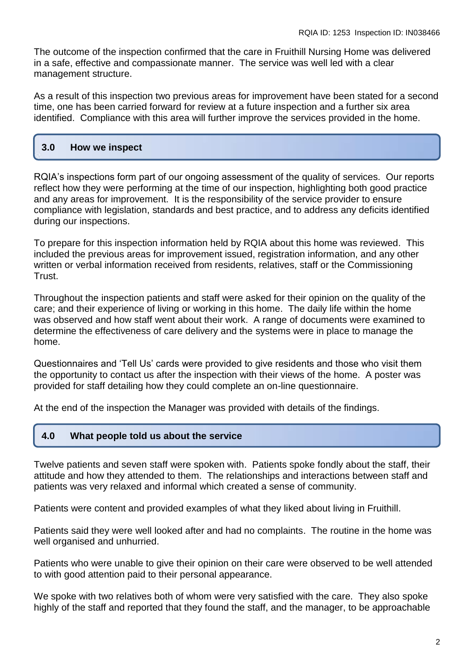The outcome of the inspection confirmed that the care in Fruithill Nursing Home was delivered in a safe, effective and compassionate manner. The service was well led with a clear management structure.

As a result of this inspection two previous areas for improvement have been stated for a second time, one has been carried forward for review at a future inspection and a further six area identified. Compliance with this area will further improve the services provided in the home.

### **3.0 How we inspect**

RQIA's inspections form part of our ongoing assessment of the quality of services. Our reports reflect how they were performing at the time of our inspection, highlighting both good practice and any areas for improvement. It is the responsibility of the service provider to ensure compliance with legislation, standards and best practice, and to address any deficits identified during our inspections.

To prepare for this inspection information held by RQIA about this home was reviewed. This included the previous areas for improvement issued, registration information, and any other written or verbal information received from residents, relatives, staff or the Commissioning Trust.

Throughout the inspection patients and staff were asked for their opinion on the quality of the care; and their experience of living or working in this home. The daily life within the home was observed and how staff went about their work. A range of documents were examined to determine the effectiveness of care delivery and the systems were in place to manage the home.

Questionnaires and 'Tell Us' cards were provided to give residents and those who visit them the opportunity to contact us after the inspection with their views of the home. A poster was provided for staff detailing how they could complete an on-line questionnaire.

At the end of the inspection the Manager was provided with details of the findings.

### **4.0 What people told us about the service**

Twelve patients and seven staff were spoken with. Patients spoke fondly about the staff, their attitude and how they attended to them. The relationships and interactions between staff and patients was very relaxed and informal which created a sense of community.

Patients were content and provided examples of what they liked about living in Fruithill.

Patients said they were well looked after and had no complaints. The routine in the home was well organised and unhurried.

Patients who were unable to give their opinion on their care were observed to be well attended to with good attention paid to their personal appearance.

We spoke with two relatives both of whom were very satisfied with the care. They also spoke highly of the staff and reported that they found the staff, and the manager, to be approachable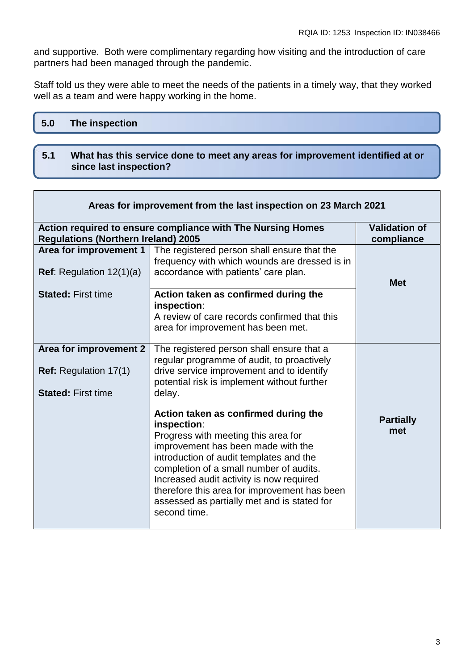and supportive. Both were complimentary regarding how visiting and the introduction of care partners had been managed through the pandemic.

Staff told us they were able to meet the needs of the patients in a timely way, that they worked well as a team and were happy working in the home.

| 5.0 The inspection |  |  |  |  |
|--------------------|--|--|--|--|
|                    |  |  |  |  |

#### **5.1 What has this service done to meet any areas for improvement identified at or since last inspection?**

| Areas for improvement from the last inspection on 23 March 2021                     |                                                                                                                                                                                                                                                                                                                                                                                   |                                    |  |
|-------------------------------------------------------------------------------------|-----------------------------------------------------------------------------------------------------------------------------------------------------------------------------------------------------------------------------------------------------------------------------------------------------------------------------------------------------------------------------------|------------------------------------|--|
| <b>Regulations (Northern Ireland) 2005</b>                                          | Action required to ensure compliance with The Nursing Homes                                                                                                                                                                                                                                                                                                                       | <b>Validation of</b><br>compliance |  |
| Area for improvement 1<br><b>Ref:</b> Regulation $12(1)(a)$                         | The registered person shall ensure that the<br>frequency with which wounds are dressed is in<br>accordance with patients' care plan.                                                                                                                                                                                                                                              | <b>Met</b>                         |  |
| <b>Stated: First time</b>                                                           | Action taken as confirmed during the<br>inspection:<br>A review of care records confirmed that this<br>area for improvement has been met.                                                                                                                                                                                                                                         |                                    |  |
| Area for improvement 2<br><b>Ref:</b> Regulation 17(1)<br><b>Stated: First time</b> | The registered person shall ensure that a<br>regular programme of audit, to proactively<br>drive service improvement and to identify<br>potential risk is implement without further<br>delay.                                                                                                                                                                                     |                                    |  |
|                                                                                     | Action taken as confirmed during the<br>inspection:<br>Progress with meeting this area for<br>improvement has been made with the<br>introduction of audit templates and the<br>completion of a small number of audits.<br>Increased audit activity is now required<br>therefore this area for improvement has been<br>assessed as partially met and is stated for<br>second time. | <b>Partially</b><br>met            |  |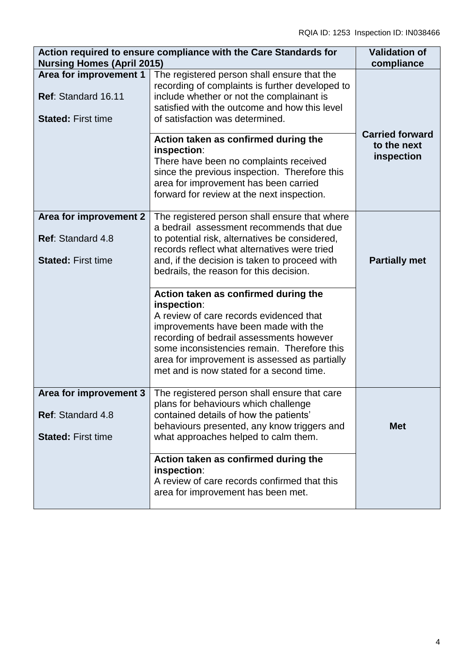| Action required to ensure compliance with the Care Standards for<br><b>Nursing Homes (April 2015)</b> | <b>Validation of</b><br>compliance                                                                                                                                                                                                                                                                                             |                           |
|-------------------------------------------------------------------------------------------------------|--------------------------------------------------------------------------------------------------------------------------------------------------------------------------------------------------------------------------------------------------------------------------------------------------------------------------------|---------------------------|
| Area for improvement 1<br>Ref: Standard 16.11<br><b>Stated: First time</b>                            | The registered person shall ensure that the<br>recording of complaints is further developed to<br>include whether or not the complainant is<br>satisfied with the outcome and how this level<br>of satisfaction was determined.                                                                                                | <b>Carried forward</b>    |
|                                                                                                       | Action taken as confirmed during the<br>inspection:<br>There have been no complaints received<br>since the previous inspection. Therefore this<br>area for improvement has been carried<br>forward for review at the next inspection.                                                                                          | to the next<br>inspection |
| Area for improvement 2<br>Ref: Standard 4.8<br><b>Stated: First time</b>                              | The registered person shall ensure that where<br>a bedrail assessment recommends that due<br>to potential risk, alternatives be considered,<br>records reflect what alternatives were tried<br>and, if the decision is taken to proceed with<br>bedrails, the reason for this decision.                                        | <b>Partially met</b>      |
|                                                                                                       | Action taken as confirmed during the<br>inspection:<br>A review of care records evidenced that<br>improvements have been made with the<br>recording of bedrail assessments however<br>some inconsistencies remain. Therefore this<br>area for improvement is assessed as partially<br>met and is now stated for a second time. |                           |
| Area for improvement 3<br><b>Ref: Standard 4.8</b><br><b>Stated: First time</b>                       | The registered person shall ensure that care<br>plans for behaviours which challenge<br>contained details of how the patients'<br>behaviours presented, any know triggers and<br>what approaches helped to calm them.                                                                                                          | <b>Met</b>                |
|                                                                                                       | Action taken as confirmed during the<br>inspection:<br>A review of care records confirmed that this<br>area for improvement has been met.                                                                                                                                                                                      |                           |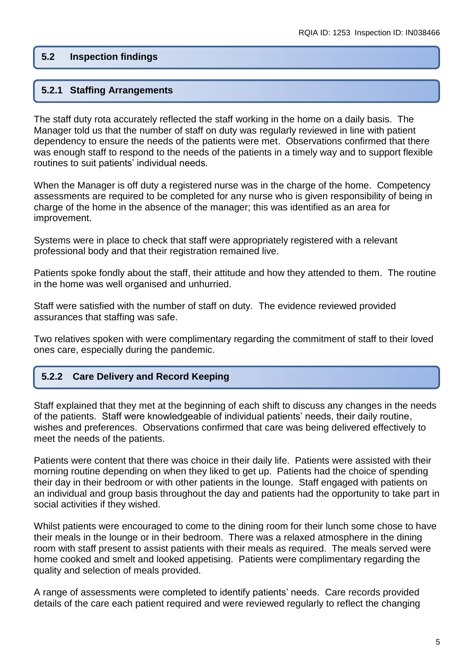#### **5.2 Inspection findings**

#### **5.2.1 Staffing Arrangements**

The staff duty rota accurately reflected the staff working in the home on a daily basis. The Manager told us that the number of staff on duty was regularly reviewed in line with patient dependency to ensure the needs of the patients were met. Observations confirmed that there was enough staff to respond to the needs of the patients in a timely way and to support flexible routines to suit patients' individual needs.

When the Manager is off duty a registered nurse was in the charge of the home. Competency assessments are required to be completed for any nurse who is given responsibility of being in charge of the home in the absence of the manager; this was identified as an area for improvement.

Systems were in place to check that staff were appropriately registered with a relevant professional body and that their registration remained live.

Patients spoke fondly about the staff, their attitude and how they attended to them. The routine in the home was well organised and unhurried.

Staff were satisfied with the number of staff on duty. The evidence reviewed provided assurances that staffing was safe.

Two relatives spoken with were complimentary regarding the commitment of staff to their loved ones care, especially during the pandemic.

#### **5.2.2 Care Delivery and Record Keeping**

Staff explained that they met at the beginning of each shift to discuss any changes in the needs of the patients. Staff were knowledgeable of individual patients' needs, their daily routine, wishes and preferences. Observations confirmed that care was being delivered effectively to meet the needs of the patients.

Patients were content that there was choice in their daily life. Patients were assisted with their morning routine depending on when they liked to get up. Patients had the choice of spending their day in their bedroom or with other patients in the lounge. Staff engaged with patients on an individual and group basis throughout the day and patients had the opportunity to take part in social activities if they wished.

Whilst patients were encouraged to come to the dining room for their lunch some chose to have their meals in the lounge or in their bedroom. There was a relaxed atmosphere in the dining room with staff present to assist patients with their meals as required. The meals served were home cooked and smelt and looked appetising. Patients were complimentary regarding the quality and selection of meals provided.

A range of assessments were completed to identify patients' needs. Care records provided details of the care each patient required and were reviewed regularly to reflect the changing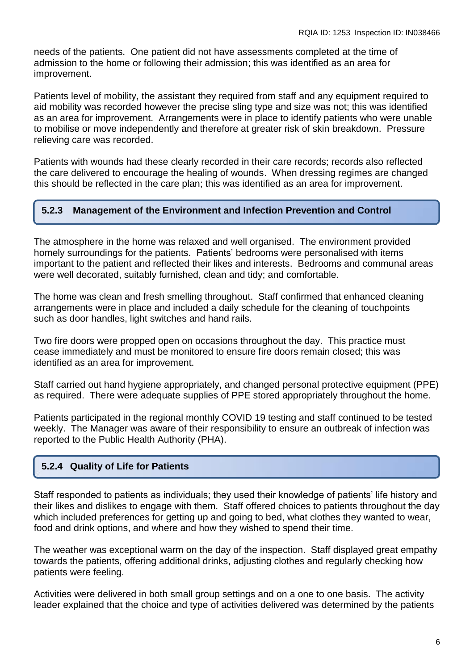needs of the patients. One patient did not have assessments completed at the time of admission to the home or following their admission; this was identified as an area for improvement.

Patients level of mobility, the assistant they required from staff and any equipment required to aid mobility was recorded however the precise sling type and size was not; this was identified as an area for improvement. Arrangements were in place to identify patients who were unable to mobilise or move independently and therefore at greater risk of skin breakdown. Pressure relieving care was recorded.

Patients with wounds had these clearly recorded in their care records; records also reflected the care delivered to encourage the healing of wounds. When dressing regimes are changed this should be reflected in the care plan; this was identified as an area for improvement.

#### **5.2.3 Management of the Environment and Infection Prevention and Control**

The atmosphere in the home was relaxed and well organised. The environment provided homely surroundings for the patients. Patients' bedrooms were personalised with items important to the patient and reflected their likes and interests. Bedrooms and communal areas were well decorated, suitably furnished, clean and tidy; and comfortable.

The home was clean and fresh smelling throughout. Staff confirmed that enhanced cleaning arrangements were in place and included a daily schedule for the cleaning of touchpoints such as door handles, light switches and hand rails.

Two fire doors were propped open on occasions throughout the day. This practice must cease immediately and must be monitored to ensure fire doors remain closed; this was identified as an area for improvement.

Staff carried out hand hygiene appropriately, and changed personal protective equipment (PPE) as required. There were adequate supplies of PPE stored appropriately throughout the home.

Patients participated in the regional monthly COVID 19 testing and staff continued to be tested weekly. The Manager was aware of their responsibility to ensure an outbreak of infection was reported to the Public Health Authority (PHA).

## **5.2.4 Quality of Life for Patients**

Staff responded to patients as individuals; they used their knowledge of patients' life history and their likes and dislikes to engage with them. Staff offered choices to patients throughout the day which included preferences for getting up and going to bed, what clothes they wanted to wear, food and drink options, and where and how they wished to spend their time.

The weather was exceptional warm on the day of the inspection. Staff displayed great empathy towards the patients, offering additional drinks, adjusting clothes and regularly checking how patients were feeling.

Activities were delivered in both small group settings and on a one to one basis. The activity leader explained that the choice and type of activities delivered was determined by the patients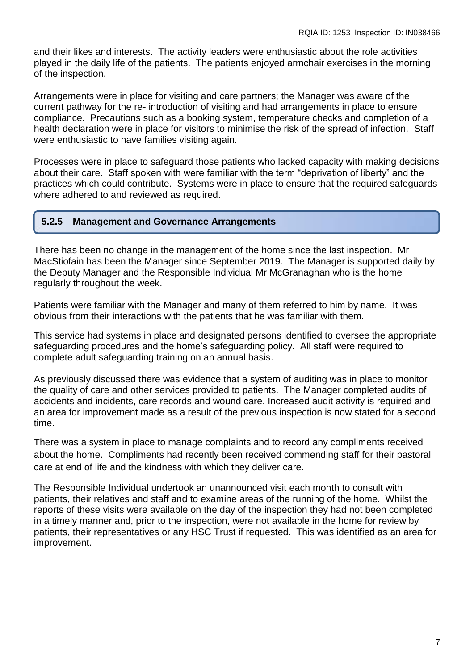and their likes and interests. The activity leaders were enthusiastic about the role activities played in the daily life of the patients. The patients enjoyed armchair exercises in the morning of the inspection.

Arrangements were in place for visiting and care partners; the Manager was aware of the current pathway for the re- introduction of visiting and had arrangements in place to ensure compliance. Precautions such as a booking system, temperature checks and completion of a health declaration were in place for visitors to minimise the risk of the spread of infection. Staff were enthusiastic to have families visiting again.

Processes were in place to safeguard those patients who lacked capacity with making decisions about their care. Staff spoken with were familiar with the term "deprivation of liberty" and the practices which could contribute. Systems were in place to ensure that the required safeguards where adhered to and reviewed as required.

#### **5.2.5 Management and Governance Arrangements**

There has been no change in the management of the home since the last inspection. Mr MacStiofain has been the Manager since September 2019. The Manager is supported daily by the Deputy Manager and the Responsible Individual Mr McGranaghan who is the home regularly throughout the week.

Patients were familiar with the Manager and many of them referred to him by name. It was obvious from their interactions with the patients that he was familiar with them.

This service had systems in place and designated persons identified to oversee the appropriate safeguarding procedures and the home's safeguarding policy. All staff were required to complete adult safeguarding training on an annual basis.

As previously discussed there was evidence that a system of auditing was in place to monitor the quality of care and other services provided to patients. The Manager completed audits of accidents and incidents, care records and wound care. Increased audit activity is required and an area for improvement made as a result of the previous inspection is now stated for a second time.

There was a system in place to manage complaints and to record any compliments received about the home. Compliments had recently been received commending staff for their pastoral care at end of life and the kindness with which they deliver care.

The Responsible Individual undertook an unannounced visit each month to consult with patients, their relatives and staff and to examine areas of the running of the home. Whilst the reports of these visits were available on the day of the inspection they had not been completed in a timely manner and, prior to the inspection, were not available in the home for review by patients, their representatives or any HSC Trust if requested. This was identified as an area for improvement.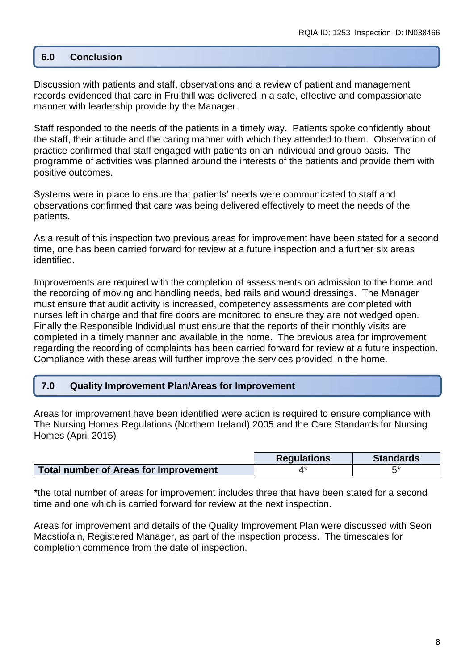#### **6.0 Conclusion**

Discussion with patients and staff, observations and a review of patient and management records evidenced that care in Fruithill was delivered in a safe, effective and compassionate manner with leadership provide by the Manager.

Staff responded to the needs of the patients in a timely way. Patients spoke confidently about the staff, their attitude and the caring manner with which they attended to them. Observation of practice confirmed that staff engaged with patients on an individual and group basis. The programme of activities was planned around the interests of the patients and provide them with positive outcomes.

Systems were in place to ensure that patients' needs were communicated to staff and observations confirmed that care was being delivered effectively to meet the needs of the patients.

As a result of this inspection two previous areas for improvement have been stated for a second time, one has been carried forward for review at a future inspection and a further six areas identified.

Improvements are required with the completion of assessments on admission to the home and the recording of moving and handling needs, bed rails and wound dressings. The Manager must ensure that audit activity is increased, competency assessments are completed with nurses left in charge and that fire doors are monitored to ensure they are not wedged open. Finally the Responsible Individual must ensure that the reports of their monthly visits are completed in a timely manner and available in the home. The previous area for improvement regarding the recording of complaints has been carried forward for review at a future inspection. Compliance with these areas will further improve the services provided in the home.

#### **7.0 Quality Improvement Plan/Areas for Improvement**

Areas for improvement have been identified were action is required to ensure compliance with The Nursing Homes Regulations (Northern Ireland) 2005 and the Care Standards for Nursing Homes (April 2015)

|                                              | <b>Requlations</b> | <b>Standards</b> |
|----------------------------------------------|--------------------|------------------|
| <b>Total number of Areas for Improvement</b> |                    | r*               |

\*the total number of areas for improvement includes three that have been stated for a second time and one which is carried forward for review at the next inspection.

Areas for improvement and details of the Quality Improvement Plan were discussed with Seon Macstiofain, Registered Manager, as part of the inspection process. The timescales for completion commence from the date of inspection.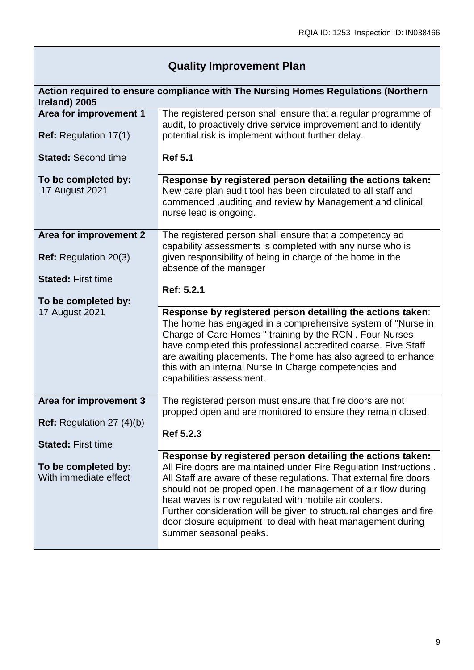# **Quality Improvement Plan**

| Ireland) 2005                                                                        | Action required to ensure compliance with The Nursing Homes Regulations (Northern                                                                                                                                                                                                                                                                                                                                                                                                           |
|--------------------------------------------------------------------------------------|---------------------------------------------------------------------------------------------------------------------------------------------------------------------------------------------------------------------------------------------------------------------------------------------------------------------------------------------------------------------------------------------------------------------------------------------------------------------------------------------|
| Area for improvement 1<br><b>Ref:</b> Regulation 17(1)<br><b>Stated: Second time</b> | The registered person shall ensure that a regular programme of<br>audit, to proactively drive service improvement and to identify<br>potential risk is implement without further delay.<br><b>Ref 5.1</b>                                                                                                                                                                                                                                                                                   |
|                                                                                      |                                                                                                                                                                                                                                                                                                                                                                                                                                                                                             |
| To be completed by:<br>17 August 2021                                                | Response by registered person detailing the actions taken:<br>New care plan audit tool has been circulated to all staff and<br>commenced, auditing and review by Management and clinical<br>nurse lead is ongoing.                                                                                                                                                                                                                                                                          |
| Area for improvement 2                                                               | The registered person shall ensure that a competency ad<br>capability assessments is completed with any nurse who is                                                                                                                                                                                                                                                                                                                                                                        |
| <b>Ref:</b> Regulation 20(3)                                                         | given responsibility of being in charge of the home in the<br>absence of the manager                                                                                                                                                                                                                                                                                                                                                                                                        |
| <b>Stated: First time</b>                                                            | Ref: 5.2.1                                                                                                                                                                                                                                                                                                                                                                                                                                                                                  |
| To be completed by:                                                                  |                                                                                                                                                                                                                                                                                                                                                                                                                                                                                             |
| <b>17 August 2021</b>                                                                | Response by registered person detailing the actions taken:<br>The home has engaged in a comprehensive system of "Nurse in<br>Charge of Care Homes " training by the RCN. Four Nurses<br>have completed this professional accredited coarse. Five Staff<br>are awaiting placements. The home has also agreed to enhance<br>this with an internal Nurse In Charge competencies and<br>capabilities assessment.                                                                                |
| Area for improvement 3                                                               | The registered person must ensure that fire doors are not<br>propped open and are monitored to ensure they remain closed.                                                                                                                                                                                                                                                                                                                                                                   |
| <b>Ref:</b> Regulation 27 $(4)(b)$                                                   | Ref 5.2.3                                                                                                                                                                                                                                                                                                                                                                                                                                                                                   |
| <b>Stated: First time</b>                                                            |                                                                                                                                                                                                                                                                                                                                                                                                                                                                                             |
| To be completed by:<br>With immediate effect                                         | Response by registered person detailing the actions taken:<br>All Fire doors are maintained under Fire Regulation Instructions.<br>All Staff are aware of these regulations. That external fire doors<br>should not be proped open. The management of air flow during<br>heat waves is now regulated with mobile air coolers.<br>Further consideration will be given to structural changes and fire<br>door closure equipment to deal with heat management during<br>summer seasonal peaks. |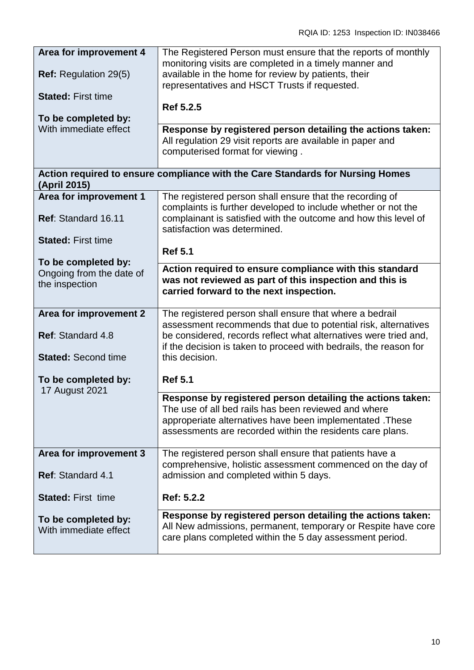| Area for improvement 4                       | The Registered Person must ensure that the reports of monthly                                                                                                                           |
|----------------------------------------------|-----------------------------------------------------------------------------------------------------------------------------------------------------------------------------------------|
| <b>Ref:</b> Regulation 29(5)                 | monitoring visits are completed in a timely manner and<br>available in the home for review by patients, their<br>representatives and HSCT Trusts if requested.                          |
| <b>Stated: First time</b>                    | Ref 5.2.5                                                                                                                                                                               |
| To be completed by:                          |                                                                                                                                                                                         |
| With immediate effect                        | Response by registered person detailing the actions taken:<br>All regulation 29 visit reports are available in paper and<br>computerised format for viewing.                            |
| (April 2015)                                 | Action required to ensure compliance with the Care Standards for Nursing Homes                                                                                                          |
| Area for improvement 1                       | The registered person shall ensure that the recording of                                                                                                                                |
| Ref: Standard 16.11                          | complaints is further developed to include whether or not the<br>complainant is satisfied with the outcome and how this level of<br>satisfaction was determined.                        |
| <b>Stated: First time</b>                    |                                                                                                                                                                                         |
| To be completed by:                          | <b>Ref 5.1</b>                                                                                                                                                                          |
| Ongoing from the date of                     | Action required to ensure compliance with this standard                                                                                                                                 |
| the inspection                               | was not reviewed as part of this inspection and this is<br>carried forward to the next inspection.                                                                                      |
| Area for improvement 2                       | The registered person shall ensure that where a bedrail                                                                                                                                 |
| <b>Ref: Standard 4.8</b>                     | assessment recommends that due to potential risk, alternatives<br>be considered, records reflect what alternatives were tried and,                                                      |
|                                              | if the decision is taken to proceed with bedrails, the reason for                                                                                                                       |
| <b>Stated: Second time</b>                   | this decision.                                                                                                                                                                          |
| To be completed by:<br><b>17 August 2021</b> | <b>Ref 5.1</b>                                                                                                                                                                          |
|                                              | Response by registered person detailing the actions taken:                                                                                                                              |
|                                              | The use of all bed rails has been reviewed and where                                                                                                                                    |
|                                              | approperiate alternatives have been implementated. These<br>assessments are recorded within the residents care plans.                                                                   |
| Area for improvement 3                       | The registered person shall ensure that patients have a                                                                                                                                 |
| Ref: Standard 4.1                            | comprehensive, holistic assessment commenced on the day of<br>admission and completed within 5 days.                                                                                    |
| <b>Stated: First time</b>                    | Ref: 5.2.2                                                                                                                                                                              |
| To be completed by:<br>With immediate effect | Response by registered person detailing the actions taken:<br>All New admissions, permanent, temporary or Respite have core<br>care plans completed within the 5 day assessment period. |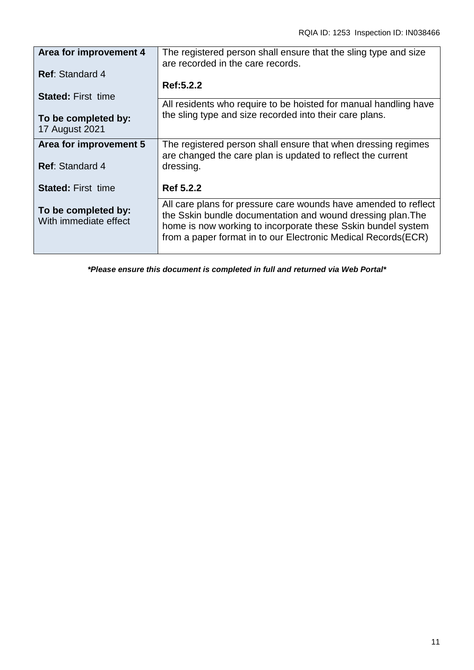| Area for improvement 4                       | The registered person shall ensure that the sling type and size<br>are recorded in the care records.                                                                                                                                                             |
|----------------------------------------------|------------------------------------------------------------------------------------------------------------------------------------------------------------------------------------------------------------------------------------------------------------------|
| <b>Ref: Standard 4</b>                       |                                                                                                                                                                                                                                                                  |
| <b>Stated: First time</b>                    | Ref:5.2.2                                                                                                                                                                                                                                                        |
|                                              | All residents who require to be hoisted for manual handling have<br>the sling type and size recorded into their care plans.                                                                                                                                      |
| To be completed by:<br><b>17 August 2021</b> |                                                                                                                                                                                                                                                                  |
| Area for improvement 5                       | The registered person shall ensure that when dressing regimes<br>are changed the care plan is updated to reflect the current                                                                                                                                     |
| <b>Ref:</b> Standard 4                       | dressing.                                                                                                                                                                                                                                                        |
| <b>Stated: First time</b>                    | Ref 5.2.2                                                                                                                                                                                                                                                        |
| To be completed by:<br>With immediate effect | All care plans for pressure care wounds have amended to reflect<br>the Sskin bundle documentation and wound dressing plan. The<br>home is now working to incorporate these Sskin bundel system<br>from a paper format in to our Electronic Medical Records (ECR) |

*\*Please ensure this document is completed in full and returned via Web Portal\**